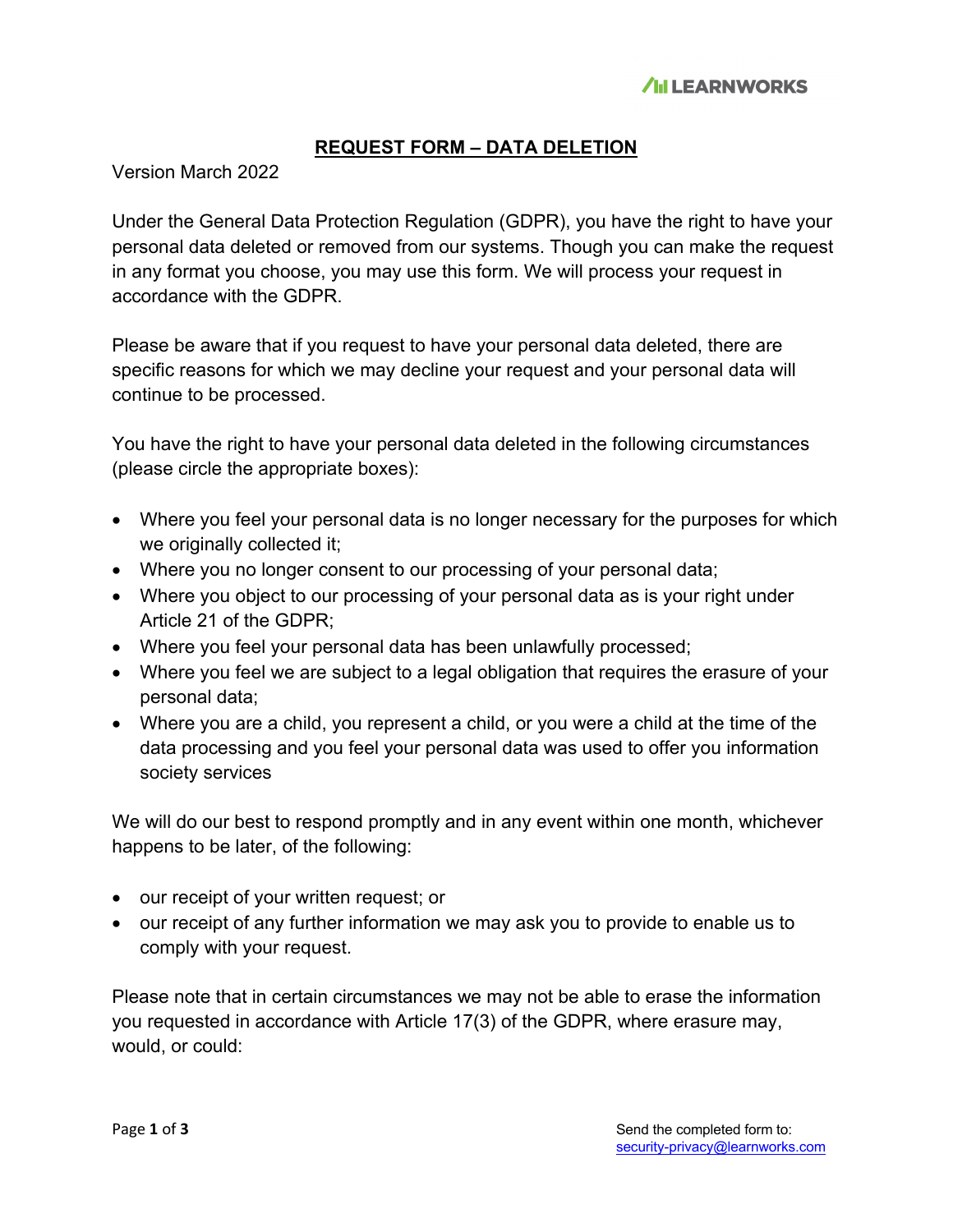# **REQUEST FORM – DATA DELETION**

Version March 2022

Under the General Data Protection Regulation (GDPR), you have the right to have your personal data deleted or removed from our systems. Though you can make the request in any format you choose, you may use this form. We will process your request in accordance with the GDPR.

Please be aware that if you request to have your personal data deleted, there are specific reasons for which we may decline your request and your personal data will continue to be processed.

You have the right to have your personal data deleted in the following circumstances (please circle the appropriate boxes):

- Where you feel your personal data is no longer necessary for the purposes for which we originally collected it;
- Where you no longer consent to our processing of your personal data;
- Where you object to our processing of your personal data as is your right under Article 21 of the GDPR;
- Where you feel your personal data has been unlawfully processed;
- Where you feel we are subject to a legal obligation that requires the erasure of your personal data;
- Where you are a child, you represent a child, or you were a child at the time of the data processing and you feel your personal data was used to offer you information society services

We will do our best to respond promptly and in any event within one month, whichever happens to be later, of the following:

- our receipt of your written request; or
- our receipt of any further information we may ask you to provide to enable us to comply with your request.

Please note that in certain circumstances we may not be able to erase the information you requested in accordance with Article 17(3) of the GDPR, where erasure may, would, or could: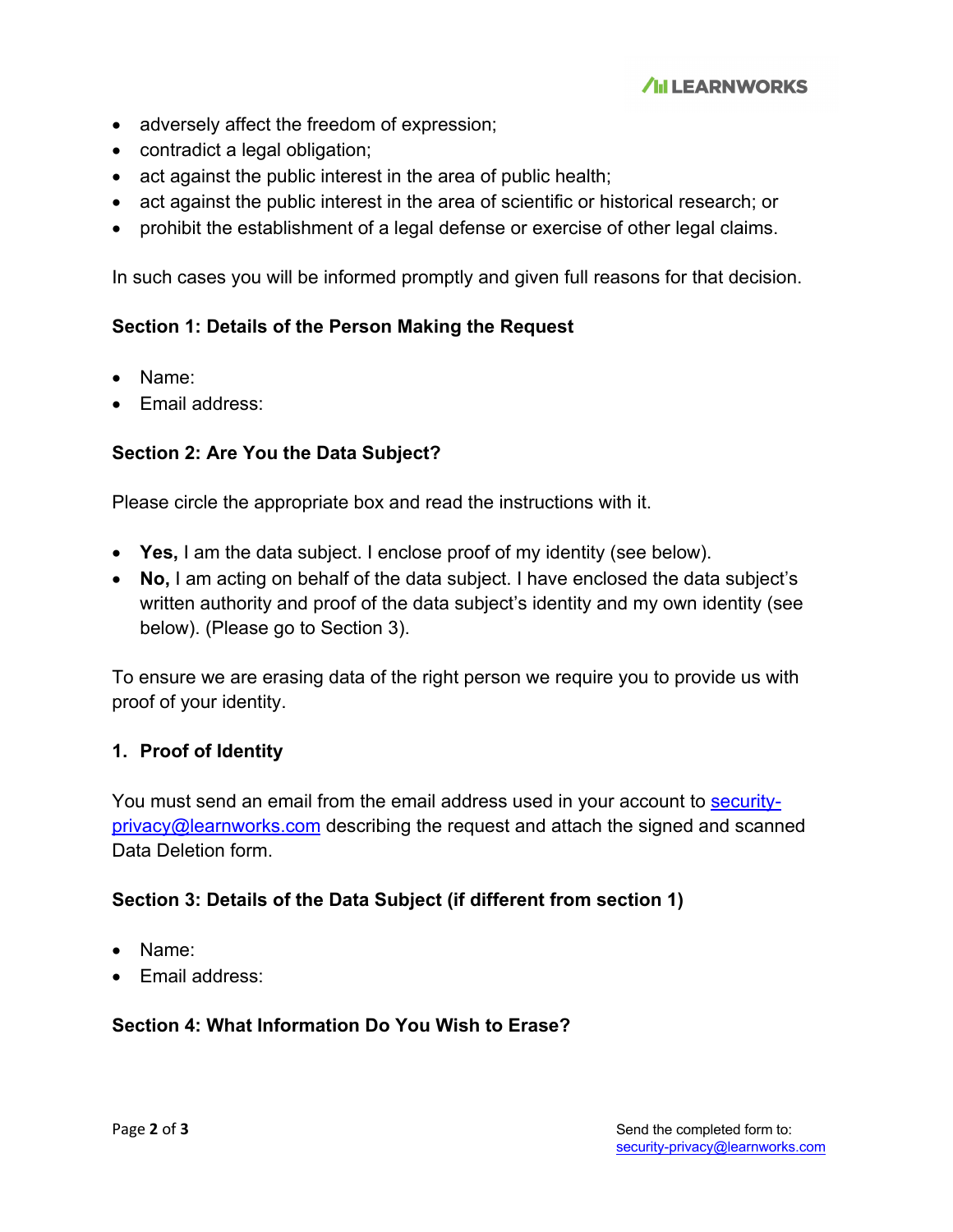- adversely affect the freedom of expression;
- contradict a legal obligation;
- act against the public interest in the area of public health;
- act against the public interest in the area of scientific or historical research; or
- prohibit the establishment of a legal defense or exercise of other legal claims.

In such cases you will be informed promptly and given full reasons for that decision.

## **Section 1: Details of the Person Making the Request**

- Name:
- Email address:

## **Section 2: Are You the Data Subject?**

Please circle the appropriate box and read the instructions with it.

- **Yes,** I am the data subject. I enclose proof of my identity (see below).
- **No,** I am acting on behalf of the data subject. I have enclosed the data subject's written authority and proof of the data subject's identity and my own identity (see below). (Please go to Section 3).

To ensure we are erasing data of the right person we require you to provide us with proof of your identity.

### **1. Proof of Identity**

You must send an email from the email address used in your account to securityprivacy@learnworks.com describing the request and attach the signed and scanned Data Deletion form.

### **Section 3: Details of the Data Subject (if different from section 1)**

- Name:
- Email address:

### **Section 4: What Information Do You Wish to Erase?**